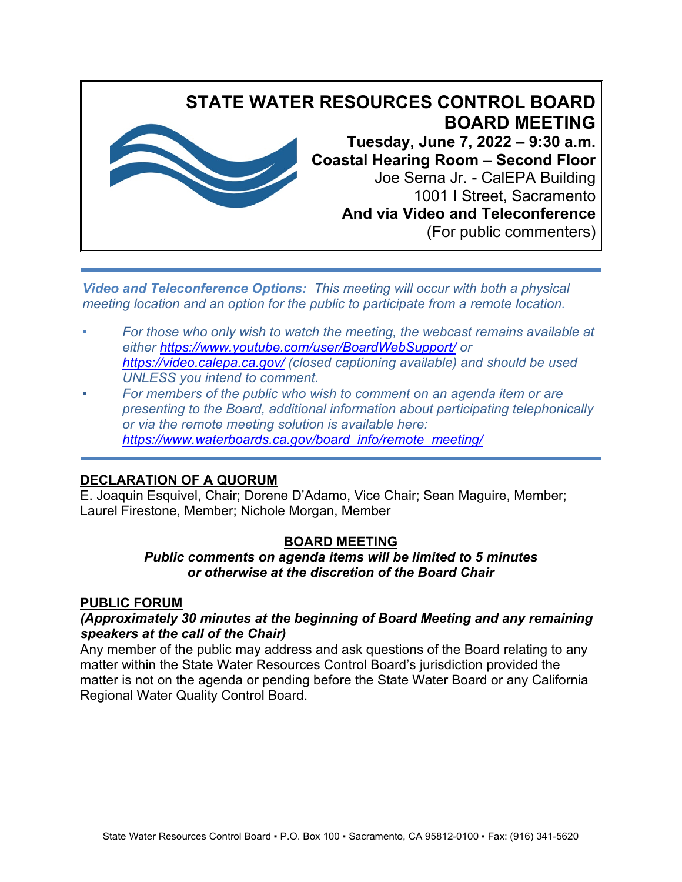

*Video and Teleconference Options: This meeting will occur with both a physical meeting location and an option for the public to participate from a remote location.*

- *• For those who only wish to watch the meeting, the webcast remains available at either<https://www.youtube.com/user/BoardWebSupport/> or <https://video.calepa.ca.gov/> (closed captioning available) and should be used UNLESS you intend to comment.*
- *• For members of the public who wish to comment on an agenda item or are presenting to the Board, additional information about participating telephonically or via the remote meeting solution is available here: [https://www.waterboards.ca.gov/board\\_info/remote\\_meeting/](https://www.waterboards.ca.gov/board_info/remote_meeting/)*

## **DECLARATION OF A QUORUM**

E. Joaquin Esquivel, Chair; Dorene D'Adamo, Vice Chair; Sean Maguire, Member; Laurel Firestone, Member; Nichole Morgan, Member

## **BOARD MEETING**

### *Public comments on agenda items will be limited to 5 minutes or otherwise at the discretion of the Board Chair*

### **PUBLIC FORUM**

### *(Approximately 30 minutes at the beginning of Board Meeting and any remaining speakers at the call of the Chair)*

Any member of the public may address and ask questions of the Board relating to any matter within the State Water Resources Control Board's jurisdiction provided the matter is not on the agenda or pending before the State Water Board or any California Regional Water Quality Control Board.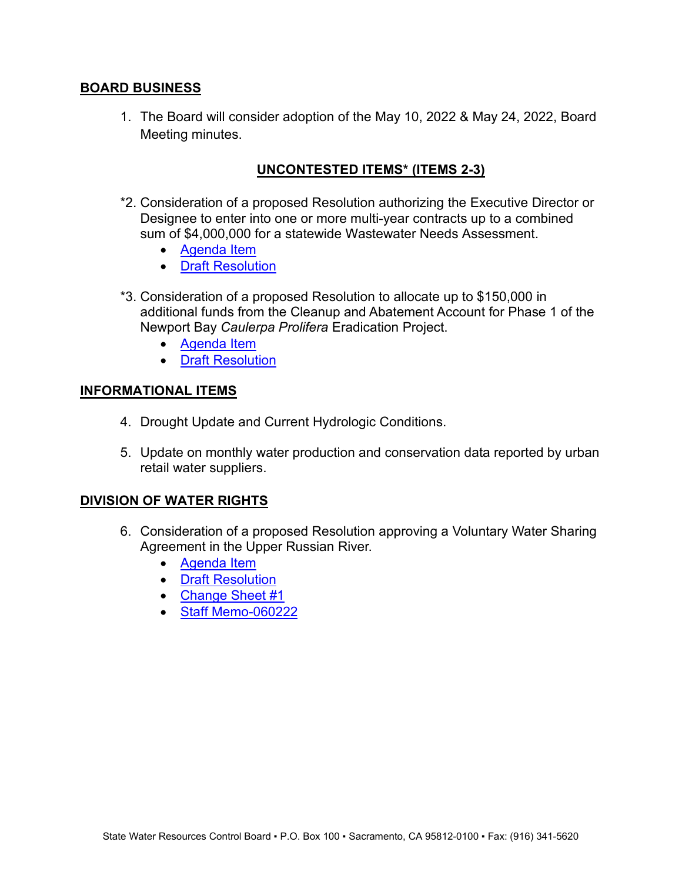### **BOARD BUSINESS**

1. The Board will consider adoption of the May 10, 2022 & May 24, 2022, Board Meeting minutes.

# **UNCONTESTED ITEMS\* (ITEMS 2-3)**

- \*2. Consideration of a proposed Resolution authorizing the Executive Director or Designee to enter into one or more multi-year contracts up to a combined sum of \$4,000,000 for a statewide Wastewater Needs Assessment.
	- [Agenda Item](https://www.waterboards.ca.gov/board_info/agendas/2022/jun/060722_2.pdf)
	- [Draft Resolution](https://www.waterboards.ca.gov/board_info/agendas/2022/jun/060722_2_drftreso.pdf)
- \*3. Consideration of a proposed Resolution to allocate up to \$150,000 in additional funds from the Cleanup and Abatement Account for Phase 1 of the Newport Bay *Caulerpa Prolifera* Eradication Project.
	- [Agenda Item](https://www.waterboards.ca.gov/board_info/agendas/2022/jun/060722_3.pdf)
	- [Draft Resolution](https://www.waterboards.ca.gov/board_info/agendas/2022/jun/060722_3_drftreso.pdf)

### **INFORMATIONAL ITEMS**

- 4. Drought Update and Current Hydrologic Conditions.
- 5. Update on monthly water production and conservation data reported by urban retail water suppliers.

### **DIVISION OF WATER RIGHTS**

- 6. Consideration of a proposed Resolution approving a Voluntary Water Sharing Agreement in the Upper Russian River.
	- [Agenda Item](https://www.waterboards.ca.gov/board_info/agendas/2022/jun/060722_6.pdf)
	- [Draft Resolution](https://www.waterboards.ca.gov/board_info/agendas/2022/jun/060722_6_drftreso.pdf)
	- Change [Sheet](https://www.waterboards.ca.gov/board_info/agendas/2022/jun/060722_6_cs1) #1
	- Staff [Memo](https://www.waterboards.ca.gov/board_info/agendas/2022/jun/060722_6_stffmemo)-[060222](https://www.waterboards.ca.gov/board_info/agendas/2022/jun/060722_6_stffmemo)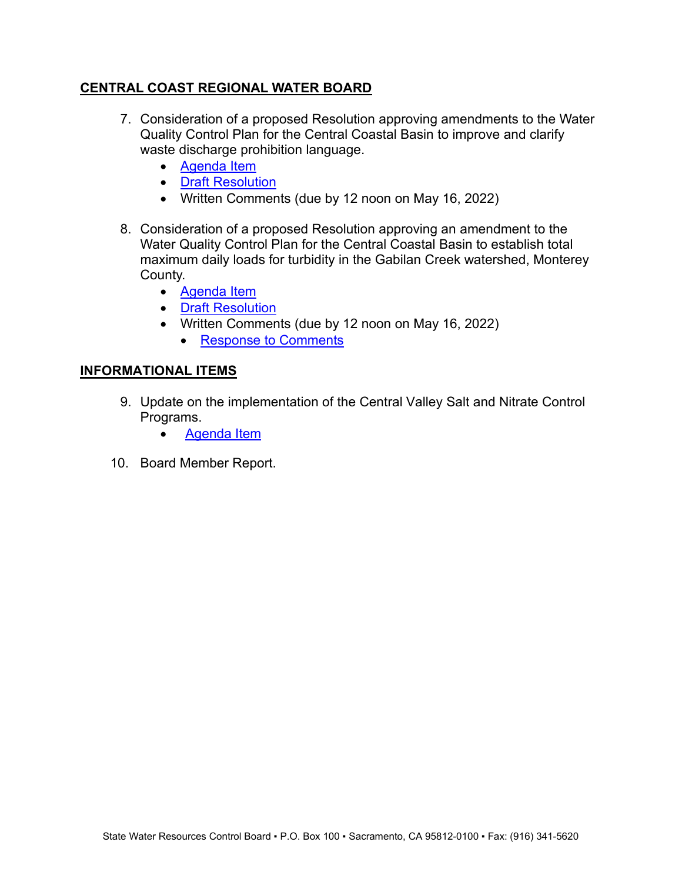### **CENTRAL COAST REGIONAL WATER BOARD**

- 7. Consideration of a proposed Resolution approving amendments to the Water Quality Control Plan for the Central Coastal Basin to improve and clarify waste discharge prohibition language.
	- [Agenda Item](https://www.waterboards.ca.gov/board_info/agendas/2022/jun/060722_7.pdf)
	- [Draft Resolution](https://www.waterboards.ca.gov/board_info/agendas/2022/jun/060722_7_drftreso.pdf)
	- Written Comments (due by 12 noon on May 16, 2022)
- 8. Consideration of a proposed Resolution approving an amendment to the Water Quality Control Plan for the Central Coastal Basin to establish total maximum daily loads for turbidity in the Gabilan Creek watershed, Monterey County.
	- [Agenda Item](https://www.waterboards.ca.gov/board_info/agendas/2022/jun/060722_8.pdf)
	- [Draft Resolution](https://www.waterboards.ca.gov/board_info/agendas/2022/jun/060722_8_drftreso.pdf)
	- Written Comments (due by 12 noon on May 16, 2022)
		- Re[sponse to Comments](https://www.waterboards.ca.gov/board_info/agendas/2022/jun/060722_8_rtc.pdf)

### **INFORMATIONAL ITEMS**

- 9. Update on the implementation of the Central Valley Salt and Nitrate Control Programs.
	- [Agenda Item](https://www.waterboards.ca.gov/board_info/agendas/2022/jun/060722_9.pdf)
- 10. Board Member Report.